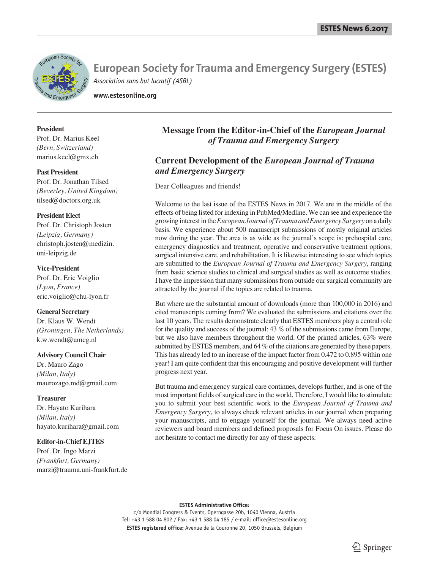

**www.estesonline.org**

# **President**

Prof. Dr. Marius Keel *(Bern, Switzerland)* marius.keel@gmx.ch

## **Past President**

Prof. Dr. Jonathan Tilsed *(Beverley, United Kingdom)* tilsed@doctors.org.uk

### **President Elect**

Prof. Dr. Christoph Josten *(Leipzig, Germany)* christoph.josten@medizin. uni-leipzig.de

# **Vice-President**

Prof. Dr. Eric Voiglio *(Lyon, France)* eric.voiglio@chu-lyon.fr

## **General Secretary**

Dr. Klaus W. Wendt *(Groningen, The Netherlands)* k.w.wendt@umcg.nl

## **Advisory Council Chair**

Dr. Mauro Zago *(Milan, Italy)* maurozago.md@gmail.com

## **Treasurer**

Dr. Hayato Kurihara *(Milan, Italy)* hayato.kurihara@gmail.com

# **Editor-in-Chief EJTES**

Prof. Dr. Ingo Marzi *(Frankfurt, Germany)* marzi@trauma.uni-frankfurt.de

# **Message from the Editor-in-Chief of the** *European Journal of Trauma and Emergency Surgery*

# **Current Development of the** *European Journal of Trauma and Emergency Surgery*

Dear Colleagues and friends!

Welcome to the last issue of the ESTES News in 2017. We are in the middle of the effects of being listed for indexing in PubMed/Medline. We can see and experience the growing interest in the *European Journal of Trauma and Emergency Surgery* on a daily basis. We experience about 500 manuscript submissions of mostly original articles now during the year. The area is as wide as the journal's scope is: prehospital care, emergency diagnostics and treatment, operative and conservative treatment options, surgical intensive care, and rehabilitation. It is likewise interesting to see which topics are submitted to the *European Journal of Trauma and Emergency Surgery*, ranging from basic science studies to clinical and surgical studies as well as outcome studies. I have the impression that many submissions from outside our surgical community are attracted by the journal if the topics are related to trauma.

But where are the substantial amount of downloads (more than 100,000 in 2016) and cited manuscripts coming from? We evaluated the submissions and citations over the last 10 years. The results demonstrate clearly that ESTES members play a central role for the quality and success of the journal: 43 % of the submissions came from Europe, but we also have members throughout the world. Of the printed articles, 63% were submitted by ESTES members, and 64 % of the citations are generated by these papers. This has already led to an increase of the impact factor from 0.472 to 0.895 within one year! I am quite confident that this encouraging and positive development will further progress next year.

But trauma and emergency surgical care continues, develops further, and is one of the most important fields of surgical care in the world. Therefore, I would like to stimulate you to submit your best scientific work to the *European Journal of Trauma and Emergency Surgery*, to always check relevant articles in our journal when preparing your manuscripts, and to engage yourself for the journal. We always need active reviewers and board members and defined proposals for Focus On issues. Please do not hesitate to contact me directly for any of these aspects.

#### **ESTES Administrative Office:**

c/o Mondial Congress & Events, Operngasse 20b, 1040 Vienna, Austria Tel: +43 1 588 04 802 / Fax: +43 1 588 04 185 / e-mail: office@estesonline.org **ESTES registered office:** Avenue de la Couronne 20, 1050 Brussels, Belgium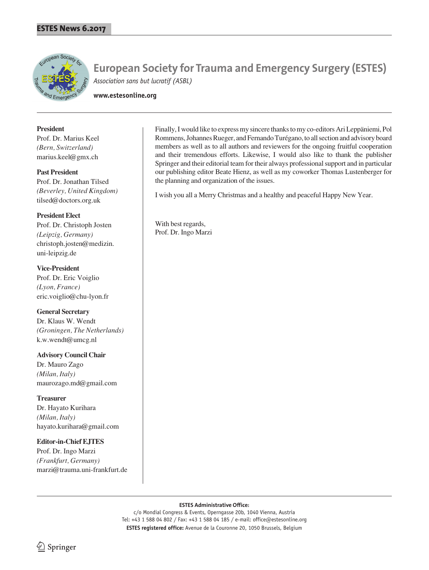

**www.estesonline.org**

### **President**

Prof. Dr. Marius Keel *(Bern, Switzerland)* marius.keel@gmx.ch

**Past President**

Prof. Dr. Jonathan Tilsed *(Beverley, United Kingdom)* tilsed@doctors.org.uk

**President Elect** Prof. Dr. Christoph Josten *(Leipzig, Germany)* christoph.josten@medizin. uni-leipzig.de

**Vice-President** Prof. Dr. Eric Voiglio *(Lyon, France)* eric.voiglio@chu-lyon.fr

**General Secretary** Dr. Klaus W. Wendt *(Groningen, The Netherlands)* k.w.wendt@umcg.nl

**Advisory Council Chair** Dr. Mauro Zago *(Milan, Italy)* maurozago.md@gmail.com

**Treasurer** Dr. Hayato Kurihara *(Milan, Italy)* hayato.kurihara@gmail.com

**Editor-in-Chief EJTES** Prof. Dr. Ingo Marzi *(Frankfurt, Germany)* marzi@trauma.uni-frankfurt.de Finally, I would like to express my sincere thanks to my co-editors Ari Leppäniemi, Pol Rommens, Johannes Rueger, and Fernando Turégano, to all section and advisory board members as well as to all authors and reviewers for the ongoing fruitful cooperation and their tremendous efforts. Likewise, I would also like to thank the publisher Springer and their editorial team for their always professional support and in particular our publishing editor Beate Hienz, as well as my coworker Thomas Lustenberger for the planning and organization of the issues.

I wish you all a Merry Christmas and a healthy and peaceful Happy New Year.

With best regards, Prof. Dr. Ingo Marzi

#### **ESTES Administrative Office:**

c/o Mondial Congress & Events, Operngasse 20b, 1040 Vienna, Austria Tel: +43 1 588 04 802 / Fax: +43 1 588 04 185 / e-mail: office@estesonline.org **ESTES registered office:** Avenue de la Couronne 20, 1050 Brussels, Belgium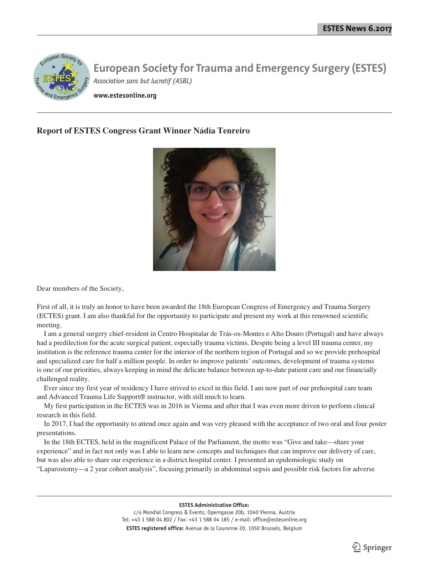

**www.estesonline.org**

# **Report of ESTES Congress Grant Winner Nádia Tenreiro**



Dear members of the Society,

First of all, it is truly an honor to have been awarded the 18th European Congress of Emergency and Trauma Surgery (ECTES) grant. I am also thankful for the opportunity to participate and present my work at this renowned scientific meeting.

I am a general surgery chief-resident in Centro Hospitalar de Trás-os-Montes e Alto Douro (Portugal) and have always had a predilection for the acute surgical patient, especially trauma victims. Despite being a level III trauma center, my institution is the reference trauma center for the interior of the northern region of Portugal and so we provide prehospital and specialized care for half a million people. In order to improve patients' outcomes, development of trauma systems is one of our priorities, always keeping in mind the delicate balance between up-to-date patient care and our financially challenged reality.

Ever since my first year of residency I have strived to excel in this field. I am now part of our prehospital care team and Advanced Trauma Life Support® instructor, with still much to learn.

My first participation in the ECTES was in 2016 in Vienna and after that I was even more driven to perform clinical research in this field.

In 2017, I had the opportunity to attend once again and was very pleased with the acceptance of two oral and four poster presentations.

In the 18th ECTES, held in the magnificent Palace of the Parliament, the motto was "Give and take—share your experience" and in fact not only was I able to learn new concepts and techniques that can improve our delivery of care, but was also able to share our experience in a district hospital center. I presented an epidemiologic study on "Laparostomy—a 2 year cohort analysis", focusing primarily in abdominal sepsis and possible risk factors for adverse

> **ESTES Administrative Office:** c/o Mondial Congress & Events, Operngasse 20b, 1040 Vienna, Austria Tel: +43 1 588 04 802 / Fax: +43 1 588 04 185 / e-mail: office@estesonline.org **ESTES registered office:** Avenue de la Couronne 20, 1050 Brussels, Belgium

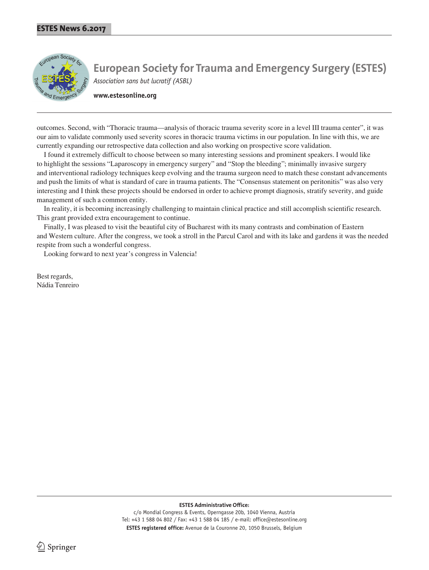

**www.estesonline.org**

outcomes. Second, with "Thoracic trauma—analysis of thoracic trauma severity score in a level III trauma center", it was our aim to validate commonly used severity scores in thoracic trauma victims in our population. In line with this, we are currently expanding our retrospective data collection and also working on prospective score validation.

I found it extremely difficult to choose between so many interesting sessions and prominent speakers. I would like to highlight the sessions "Laparoscopy in emergency surgery" and "Stop the bleeding"; minimally invasive surgery and interventional radiology techniques keep evolving and the trauma surgeon need to match these constant advancements and push the limits of what is standard of care in trauma patients. The "Consensus statement on peritonitis" was also very interesting and I think these projects should be endorsed in order to achieve prompt diagnosis, stratify severity, and guide management of such a common entity.

In reality, it is becoming increasingly challenging to maintain clinical practice and still accomplish scientific research. This grant provided extra encouragement to continue.

Finally, I was pleased to visit the beautiful city of Bucharest with its many contrasts and combination of Eastern and Western culture. After the congress, we took a stroll in the Parcul Carol and with its lake and gardens it was the needed respite from such a wonderful congress.

Looking forward to next year's congress in Valencia!

Best regards, Nádia Tenreiro

**ESTES Administrative Office:**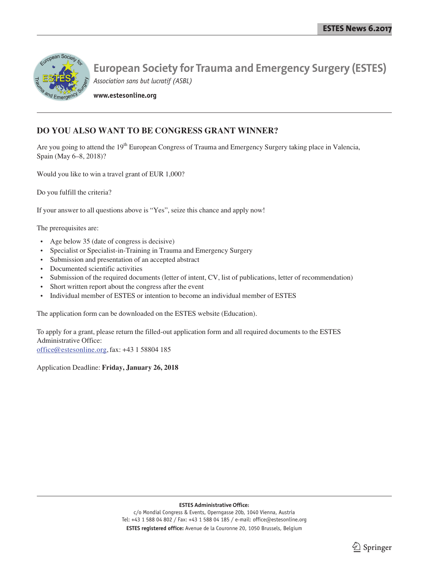

**www.estesonline.org**

# **DO YOU ALSO WANT TO BE CONGRESS GRANT WINNER?**

Are you going to attend the 19<sup>th</sup> European Congress of Trauma and Emergency Surgery taking place in Valencia, Spain (May 6–8, 2018)?

Would you like to win a travel grant of EUR 1,000?

Do you fulfill the criteria?

If your answer to all questions above is "Yes", seize this chance and apply now!

The prerequisites are:

- Age below 35 (date of congress is decisive)
- Specialist or Specialist-in-Training in Trauma and Emergency Surgery
- Submission and presentation of an accepted abstract
- Documented scientific activities
- Submission of the required documents (letter of intent, CV, list of publications, letter of recommendation)
- Short written report about the congress after the event
- Individual member of ESTES or intention to become an individual member of ESTES

The application form can be downloaded on the ESTES website (Education).

To apply for a grant, please return the filled-out application form and all required documents to the ESTES Administrative Office: office@estesonline.org,fax: +43 1 58804 185

Application Deadline: **Friday, January 26, 2018**